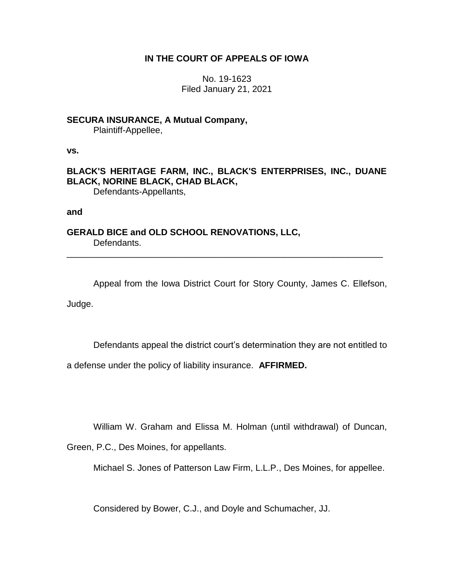## **IN THE COURT OF APPEALS OF IOWA**

No. 19-1623 Filed January 21, 2021

**SECURA INSURANCE, A Mutual Company,** Plaintiff-Appellee,

**vs.**

**BLACK'S HERITAGE FARM, INC., BLACK'S ENTERPRISES, INC., DUANE BLACK, NORINE BLACK, CHAD BLACK,** Defendants-Appellants,

**and**

**GERALD BICE and OLD SCHOOL RENOVATIONS, LLC,** Defendants.

Appeal from the Iowa District Court for Story County, James C. Ellefson, Judge.

\_\_\_\_\_\_\_\_\_\_\_\_\_\_\_\_\_\_\_\_\_\_\_\_\_\_\_\_\_\_\_\_\_\_\_\_\_\_\_\_\_\_\_\_\_\_\_\_\_\_\_\_\_\_\_\_\_\_\_\_\_\_\_\_

Defendants appeal the district court's determination they are not entitled to

a defense under the policy of liability insurance. **AFFIRMED.**

William W. Graham and Elissa M. Holman (until withdrawal) of Duncan,

Green, P.C., Des Moines, for appellants.

Michael S. Jones of Patterson Law Firm, L.L.P., Des Moines, for appellee.

Considered by Bower, C.J., and Doyle and Schumacher, JJ.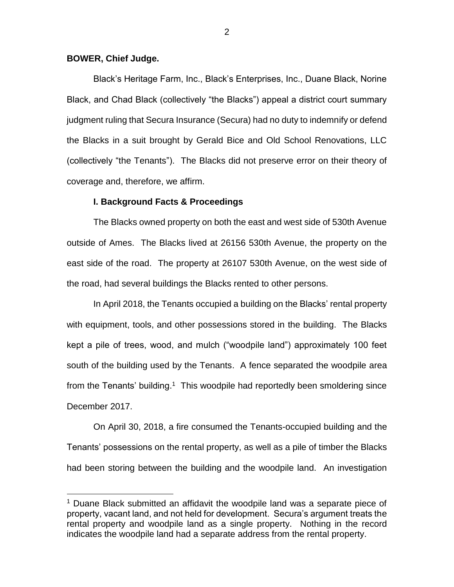### **BOWER, Chief Judge.**

 $\overline{a}$ 

Black's Heritage Farm, Inc., Black's Enterprises, Inc., Duane Black, Norine Black, and Chad Black (collectively "the Blacks") appeal a district court summary judgment ruling that Secura Insurance (Secura) had no duty to indemnify or defend the Blacks in a suit brought by Gerald Bice and Old School Renovations, LLC (collectively "the Tenants"). The Blacks did not preserve error on their theory of coverage and, therefore, we affirm.

### **I. Background Facts & Proceedings**

The Blacks owned property on both the east and west side of 530th Avenue outside of Ames. The Blacks lived at 26156 530th Avenue, the property on the east side of the road. The property at 26107 530th Avenue, on the west side of the road, had several buildings the Blacks rented to other persons.

In April 2018, the Tenants occupied a building on the Blacks' rental property with equipment, tools, and other possessions stored in the building. The Blacks kept a pile of trees, wood, and mulch ("woodpile land") approximately 100 feet south of the building used by the Tenants. A fence separated the woodpile area from the Tenants' building.<sup>1</sup> This woodpile had reportedly been smoldering since December 2017.

On April 30, 2018, a fire consumed the Tenants-occupied building and the Tenants' possessions on the rental property, as well as a pile of timber the Blacks had been storing between the building and the woodpile land. An investigation

<sup>&</sup>lt;sup>1</sup> Duane Black submitted an affidavit the woodpile land was a separate piece of property, vacant land, and not held for development. Secura's argument treats the rental property and woodpile land as a single property. Nothing in the record indicates the woodpile land had a separate address from the rental property.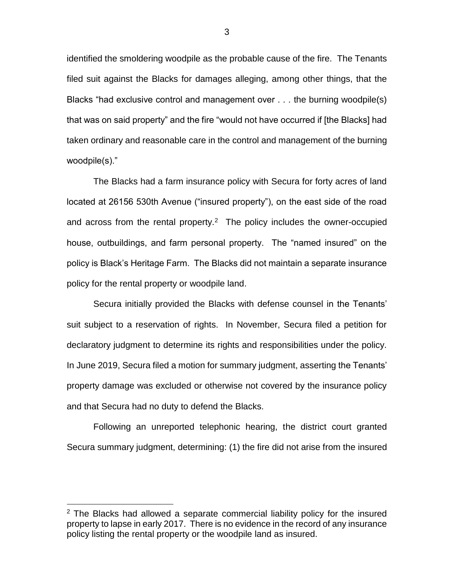identified the smoldering woodpile as the probable cause of the fire. The Tenants filed suit against the Blacks for damages alleging, among other things, that the Blacks "had exclusive control and management over . . . the burning woodpile(s) that was on said property" and the fire "would not have occurred if [the Blacks] had taken ordinary and reasonable care in the control and management of the burning woodpile(s)."

The Blacks had a farm insurance policy with Secura for forty acres of land located at 26156 530th Avenue ("insured property"), on the east side of the road and across from the rental property.<sup>2</sup> The policy includes the owner-occupied house, outbuildings, and farm personal property. The "named insured" on the policy is Black's Heritage Farm. The Blacks did not maintain a separate insurance policy for the rental property or woodpile land.

Secura initially provided the Blacks with defense counsel in the Tenants' suit subject to a reservation of rights. In November, Secura filed a petition for declaratory judgment to determine its rights and responsibilities under the policy. In June 2019, Secura filed a motion for summary judgment, asserting the Tenants' property damage was excluded or otherwise not covered by the insurance policy and that Secura had no duty to defend the Blacks.

Following an unreported telephonic hearing, the district court granted Secura summary judgment, determining: (1) the fire did not arise from the insured

 $\overline{a}$ 

 $2$  The Blacks had allowed a separate commercial liability policy for the insured property to lapse in early 2017. There is no evidence in the record of any insurance policy listing the rental property or the woodpile land as insured.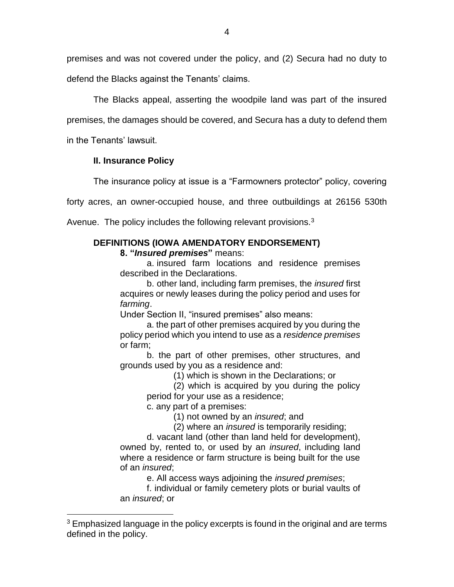premises and was not covered under the policy, and (2) Secura had no duty to defend the Blacks against the Tenants' claims.

The Blacks appeal, asserting the woodpile land was part of the insured premises, the damages should be covered, and Secura has a duty to defend them in the Tenants' lawsuit.

## **II. Insurance Policy**

 $\overline{a}$ 

The insurance policy at issue is a "Farmowners protector" policy, covering

forty acres, an owner-occupied house, and three outbuildings at 26156 530th

Avenue. The policy includes the following relevant provisions.<sup>3</sup>

# **DEFINITIONS (IOWA AMENDATORY ENDORSEMENT)**

**8. "***Insured premises***"** means:

a. insured farm locations and residence premises described in the Declarations.

b. other land, including farm premises, the *insured* first acquires or newly leases during the policy period and uses for *farming*.

Under Section II, "insured premises" also means:

a. the part of other premises acquired by you during the policy period which you intend to use as a *residence premises*  or farm;

b. the part of other premises, other structures, and grounds used by you as a residence and:

(1) which is shown in the Declarations; or

(2) which is acquired by you during the policy period for your use as a residence;

c. any part of a premises:

(1) not owned by an *insured*; and

(2) where an *insured* is temporarily residing;

d. vacant land (other than land held for development), owned by, rented to, or used by an *insured*, including land where a residence or farm structure is being built for the use of an *insured*;

e. All access ways adjoining the *insured premises*;

f. individual or family cemetery plots or burial vaults of an *insured*; or

 $3$  Emphasized language in the policy excerpts is found in the original and are terms defined in the policy.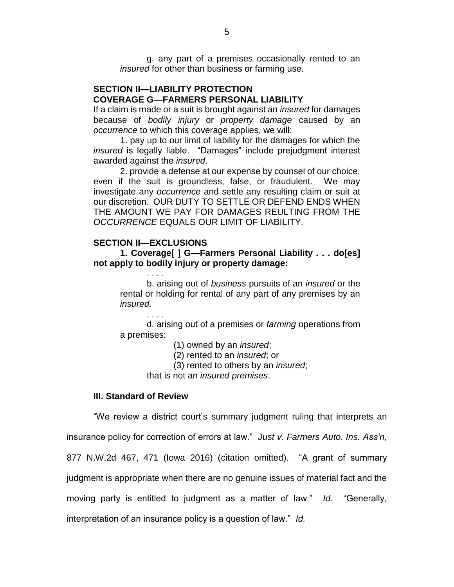g. any part of a premises occasionally rented to an *insured* for other than business or farming use.

### **SECTION II—LIABILITY PROTECTION COVERAGE G—FARMERS PERSONAL LIABILITY**

If a claim is made or a suit is brought against an *insured* for damages because of *bodily injury* or *property damage* caused by an *occurrence* to which this coverage applies, we will:

1. pay up to our limit of liability for the damages for which the *insured* is legally liable. "Damages" include prejudgment interest awarded against the *insured*.

2. provide a defense at our expense by counsel of our choice, even if the suit is groundless, false, or fraudulent. We may investigate any *occurrence* and settle any resulting claim or suit at our discretion. OUR DUTY TO SETTLE OR DEFEND ENDS WHEN THE AMOUNT WE PAY FOR DAMAGES REULTING FROM THE *OCCURRENCE* EQUALS OUR LIMIT OF LIABILITY.

### **SECTION II—EXCLUSIONS**

. . . .

. . . .

**1. Coverage[ ] G—Farmers Personal Liability . . . do[es] not apply to bodily injury or property damage:**

b. arising out of *business* pursuits of an *insured* or the rental or holding for rental of any part of any premises by an *insured.*

d. arising out of a premises or *farming* operations from a premises:

(1) owned by an *insured*;

(2) rented to an *insured*; or

(3) rented to others by an *insured*;

that is not an *insured premises*.

### **III. Standard of Review**

"We review a district court's summary judgment ruling that interprets an

insurance policy for correction of errors at law." *Just v. Farmers Auto. Ins. Ass'n*,

877 N.W.2d 467, 471 (Iowa 2016) (citation omitted). "A grant of summary

judgment is appropriate when there are no genuine issues of material fact and the

moving party is entitled to judgment as a matter of law." *Id.* "Generally,

interpretation of an insurance policy is a question of law." *Id.*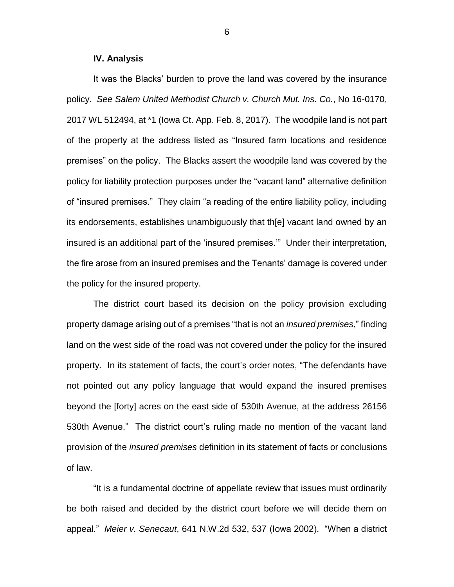### **IV. Analysis**

It was the Blacks' burden to prove the land was covered by the insurance policy. *See Salem United Methodist Church v. Church Mut. Ins. Co.*, No 16-0170, 2017 WL 512494, at \*1 (Iowa Ct. App. Feb. 8, 2017). The woodpile land is not part of the property at the address listed as "Insured farm locations and residence premises" on the policy. The Blacks assert the woodpile land was covered by the policy for liability protection purposes under the "vacant land" alternative definition of "insured premises." They claim "a reading of the entire liability policy, including its endorsements, establishes unambiguously that th[e] vacant land owned by an insured is an additional part of the 'insured premises.'" Under their interpretation, the fire arose from an insured premises and the Tenants' damage is covered under the policy for the insured property.

The district court based its decision on the policy provision excluding property damage arising out of a premises "that is not an *insured premises*," finding land on the west side of the road was not covered under the policy for the insured property. In its statement of facts, the court's order notes, "The defendants have not pointed out any policy language that would expand the insured premises beyond the [forty] acres on the east side of 530th Avenue, at the address 26156 530th Avenue." The district court's ruling made no mention of the vacant land provision of the *insured premises* definition in its statement of facts or conclusions of law.

"It is a fundamental doctrine of appellate review that issues must ordinarily be both raised and decided by the district court before we will decide them on appeal." *Meier v. Senecaut*, 641 N.W.2d 532, 537 (Iowa 2002). "When a district